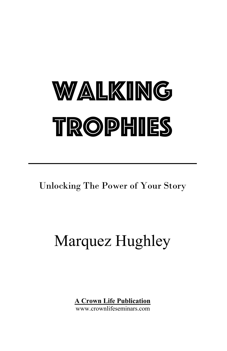# WALKING TROPHIES

Unlocking The Power of Your Story

# Marquez Hughley

**A Crown Life Publication** 

www.crownlifeseminars.com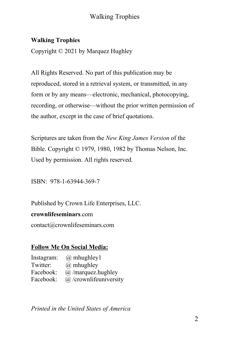### **Walking Trophies**

Copyright © 2021 by Marquez Hughley

All Rights Reserved. No part of this publication may be reproduced, stored in a retrieval system, or transmitted, in any form or by any means—electronic, mechanical, photocopying, recording, or otherwise—without the prior written permission of the author, except in the case of brief quotations.

Scriptures are taken from the *New King James Version* of the Bible. Copyright © 1979, 1980, 1982 by Thomas Nelson, Inc. Used by permission. All rights reserved.

ISBN: 978-1-63944-369-7

Published by Crown Life Enterprises, LLC.

#### **crownlifeseminars**.com

contact@crownlifeseminars.com

### **Follow Me On Social Media:**

Instagram: @ mhughley1 Twitter: @ mhughley Facebook: @ /marquez.hughley Facebook: @ /crownlifeuniversity

*Printed in the United States of America*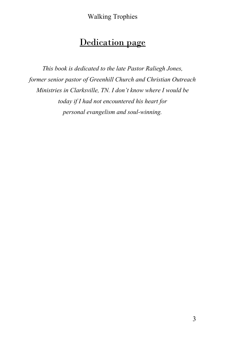# Dedication page

*This book is dedicated to the late Pastor Raliegh Jones, former senior pastor of Greenhill Church and Christian Outreach Ministries in Clarksville, TN. I don't know where I would be today if I had not encountered his heart for personal evangelism and soul-winning.*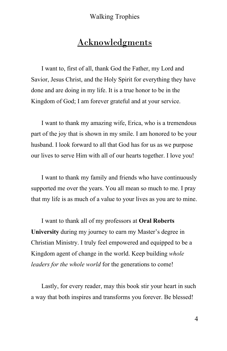# Acknowledgments

I want to, first of all, thank God the Father, my Lord and Savior, Jesus Christ, and the Holy Spirit for everything they have done and are doing in my life. It is a true honor to be in the Kingdom of God; I am forever grateful and at your service.

I want to thank my amazing wife, Erica, who is a tremendous part of the joy that is shown in my smile. I am honored to be your husband. I look forward to all that God has for us as we purpose our lives to serve Him with all of our hearts together. I love you!

I want to thank my family and friends who have continuously supported me over the years. You all mean so much to me. I pray that my life is as much of a value to your lives as you are to mine.

I want to thank all of my professors at **Oral Roberts University** during my journey to earn my Master's degree in Christian Ministry. I truly feel empowered and equipped to be a Kingdom agent of change in the world. Keep building *whole leaders for the whole world* for the generations to come!

Lastly, for every reader, may this book stir your heart in such a way that both inspires and transforms you forever. Be blessed!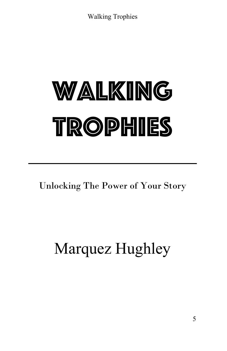# WALKING TROPHIES

Unlocking The Power of Your Story

# Marquez Hughley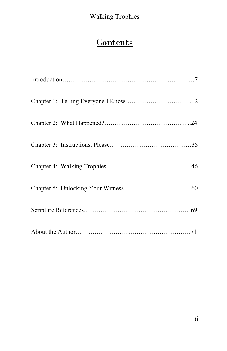# **Contents**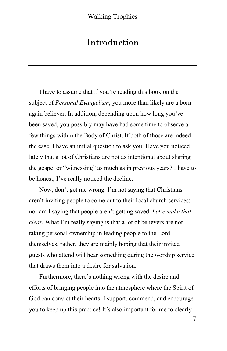# Introduction

I have to assume that if you're reading this book on the subject of *Personal Evangelism*, you more than likely are a bornagain believer. In addition, depending upon how long you've been saved, you possibly may have had some time to observe a few things within the Body of Christ. If both of those are indeed the case, I have an initial question to ask you: Have you noticed lately that a lot of Christians are not as intentional about sharing the gospel or "witnessing" as much as in previous years? I have to be honest; I've really noticed the decline.

Now, don't get me wrong. I'm not saying that Christians aren't inviting people to come out to their local church services; nor am I saying that people aren't getting saved. *Let's make that clear*. What I'm really saying is that a lot of believers are not taking personal ownership in leading people to the Lord themselves; rather, they are mainly hoping that their invited guests who attend will hear something during the worship service that draws them into a desire for salvation.

Furthermore, there's nothing wrong with the desire and efforts of bringing people into the atmosphere where the Spirit of God can convict their hearts. I support, commend, and encourage you to keep up this practice! It's also important for me to clearly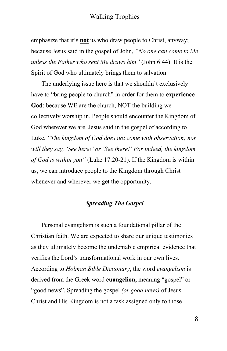emphasize that it's **not** us who draw people to Christ, anyway; because Jesus said in the gospel of John, *"No one can come to Me unless the Father who sent Me draws him"* (John 6:44). It is the Spirit of God who ultimately brings them to salvation.

The underlying issue here is that we shouldn't exclusively have to "bring people to church" in order for them to **experience God**; because WE are the church, NOT the building we collectively worship in. People should encounter the Kingdom of God wherever we are. Jesus said in the gospel of according to Luke, *"The kingdom of God does not come with observation; nor will they say, 'See here!' or 'See there!' For indeed, the kingdom of God is within you"* (Luke 17:20-21). If the Kingdom is within us, we can introduce people to the Kingdom through Christ whenever and wherever we get the opportunity.

#### *Spreading The Gospel*

Personal evangelism is such a foundational pillar of the Christian faith. We are expected to share our unique testimonies as they ultimately become the undeniable empirical evidence that verifies the Lord's transformational work in our own lives. According to *Holman Bible Dictionary*, the word *evangelism* is derived from the Greek word **euangelion,** meaning "gospel" or "good news". Spreading the gospel *(or good news)* of Jesus Christ and His Kingdom is not a task assigned only to those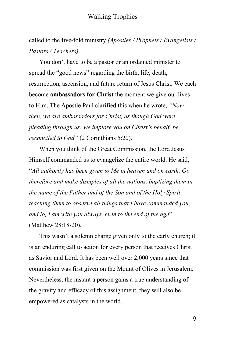called to the five-fold ministry *(Apostles / Prophets / Evangelists / Pastors / Teachers)*.

You don't have to be a pastor or an ordained minister to spread the "good news" regarding the birth, life, death, resurrection, ascension, and future return of Jesus Christ. We each become **ambassadors for Christ** the moment we give our lives to Him. The Apostle Paul clarified this when he wrote, *"Now then, we are ambassadors for Christ, as though God were pleading through us: we implore you on Christ's behalf, be reconciled to God"* (2 Corinthians 5:20).

When you think of the Great Commission, the Lord Jesus Himself commanded us to evangelize the entire world. He said, "*All authority has been given to Me in heaven and on earth. Go therefore and make disciples of all the nations, baptizing them in the name of the Father and of the Son and of the Holy Spirit, teaching them to observe all things that I have commanded you; and lo, I am with you always, even to the end of the age*" (Matthew 28:18-20).

This wasn't a solemn charge given only to the early church; it is an enduring call to action for every person that receives Christ as Savior and Lord. It has been well over 2,000 years since that commission was first given on the Mount of Olives in Jerusalem. Nevertheless, the instant a person gains a true understanding of the gravity and efficacy of this assignment, they will also be empowered as catalysts in the world.

9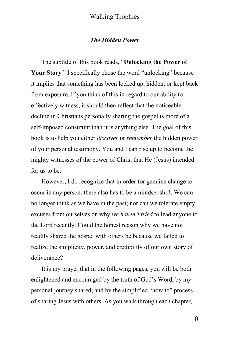#### *The Hidden Power*

The subtitle of this book reads, "**Unlocking the Power of**  Your Story." I specifically chose the word "unlocking" because it implies that something has been locked up, hidden, or kept back from exposure. If you think of this in regard to our ability to effectively witness, it should then reflect that the noticeable decline in Christians personally sharing the gospel is more of a self-imposed constraint than it is anything else. The goal of this book is to help you either *discover* or *remember* the hidden power of your personal testimony. You and I can rise up to become the mighty witnesses of the power of Christ that He (Jesus) intended for us to be.

However, I do recognize that in order for genuine change to occur in any person, there also has to be a mindset shift. We can no longer think as we have in the past; nor can we tolerate empty excuses from ourselves on why *we haven't tried* to lead anyone to the Lord recently. Could the honest reason why we have not readily shared the gospel with others be because we failed to realize the simplicity, power, and credibility of our own story of deliverance?

It is my prayer that in the following pages, you will be both enlightened and encouraged by the truth of God's Word, by my personal journey shared, and by the simplified "how to" process of sharing Jesus with others. As you walk through each chapter,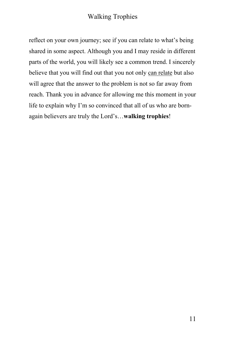reflect on your own journey; see if you can relate to what's being shared in some aspect. Although you and I may reside in different parts of the world, you will likely see a common trend. I sincerely believe that you will find out that you not only can relate but also will agree that the answer to the problem is not so far away from reach. Thank you in advance for allowing me this moment in your life to explain why I'm so convinced that all of us who are bornagain believers are truly the Lord's…**walking trophies**!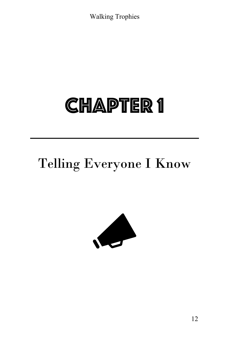# **CHAPTER 1**

# Telling Everyone I Know



12